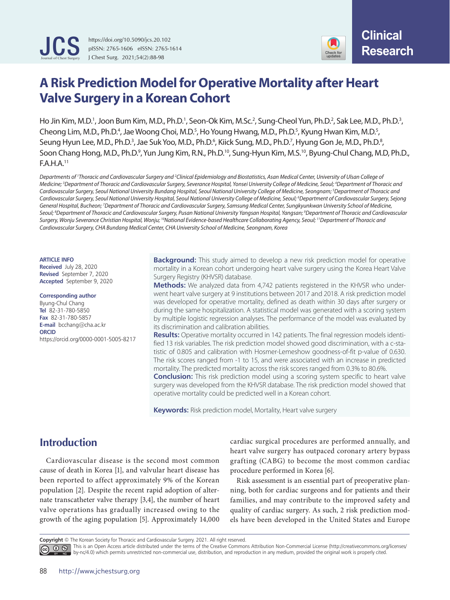

https://doi.org/10.5090/jcs.20.102 pISSN: 2765-1606 eISSN: 2765-1614 J Chest Surg. 2021;54(2):88-98



# **A Risk Prediction Model for Operative Mortality after Heart Valve Surgery in a Korean Cohort**

Ho Jin Kim, M.D.<sup>1</sup>, Joon Bum Kim, M.D., Ph.D.<sup>1</sup>, Seon-Ok Kim, M.Sc.<sup>2</sup>, Sung-Cheol Yun, Ph.D.<sup>2</sup>, Sak Lee, M.D., Ph.D.<sup>3</sup>, Cheong Lim, M.D., Ph.D.<sup>4</sup>, Jae Woong Choi, M.D.<sup>5</sup>, Ho Young Hwang, M.D., Ph.D.<sup>5</sup>, Kyung Hwan Kim, M.D.<sup>5</sup>, Seung Hyun Lee, M.D., Ph.D.<sup>3</sup>, Jae Suk Yoo, M.D., Ph.D.<sup>6</sup>, Kiick Sung, M.D., Ph.D.<sup>7</sup>, Hyung Gon Je, M.D., Ph.D.<sup>8</sup>, Soon Chang Hong, M.D., Ph.D.<sup>9</sup>, Yun Jung Kim, R.N., Ph.D.<sup>10</sup>, Sung-Hyun Kim, M.S.<sup>10</sup>, Byung-Chul Chang, M.D, Ph.D., F.A.H.A.11

*Departments of 1 Thoracic and Cardiovascular Surgery and 2 Clinical Epidemiology and Biostatistics, Asan Medical Center, University of Ulsan College of Medicine; 3 Department of Thoracic and Cardiovascular Surgery, Severance Hospital, Yonsei University College of Medicine, Seoul; 4 Department of Thoracic and Cardiovascular Surgery, Seoul National University Bundang Hospital, Seoul National University College of Medicine, Seongnam; 5 Department of Thoracic and Cardiovascular Surgery, Seoul National University Hospital, Seoul National University College of Medicine, Seoul; 6 Department of Cardiovascular Surgery, Sejong General Hospital, Bucheon; 7 Department of Thoracic and Cardiovascular Surgery, Samsung Medical Center, Sungkyunkwan University School of Medicine, Seoul; 8 Department of Thoracic and Cardiovascular Surgery, Pusan National University Yangsan Hospital, Yangsan; 9 Department of Thoracic and Cardiovascular Surgery, Wonju Severance Christian Hospital, Wonju; 10National Evidence-based Healthcare Collaborating Agency, Seoul; 11Department of Thoracic and Cardiovascular Surgery, CHA Bundang Medical Center, CHA University School of Medicine, Seongnam, Korea*

#### **ARTICLE INFO**

**Received** July 28, 2020 **Revised** September 7, 2020 **Accepted** September 9, 2020

#### **Corresponding author**

Byung-Chul Chang **Tel** 82-31-780-5850 **Fax** 82-31-780-5857 **E-mail** bcchang@cha.ac.kr **ORCID** https://orcid.org/0000-0001-5005-8217

**Background:** This study aimed to develop a new risk prediction model for operative mortality in a Korean cohort undergoing heart valve surgery using the Korea Heart Valve Surgery Registry (KHVSR) database.

**Methods:** We analyzed data from 4,742 patients registered in the KHVSR who underwent heart valve surgery at 9 institutions between 2017 and 2018. A risk prediction model was developed for operative mortality, defined as death within 30 days after surgery or during the same hospitalization. A statistical model was generated with a scoring system by multiple logistic regression analyses. The performance of the model was evaluated by its discrimination and calibration abilities.

**Results:** Operative mortality occurred in 142 patients. The final regression models identified 13 risk variables. The risk prediction model showed good discrimination, with a c-statistic of 0.805 and calibration with Hosmer-Lemeshow goodness-of-fit p-value of 0.630. The risk scores ranged from -1 to 15, and were associated with an increase in predicted mortality. The predicted mortality across the risk scores ranged from 0.3% to 80.6%.

**Conclusion:** This risk prediction model using a scoring system specific to heart valve surgery was developed from the KHVSR database. The risk prediction model showed that operative mortality could be predicted well in a Korean cohort.

**Keywords:** Risk prediction model, Mortality, Heart valve surgery

## **Introduction**

Cardiovascular disease is the second most common cause of death in Korea [1], and valvular heart disease has been reported to affect approximately 9% of the Korean population [2]. Despite the recent rapid adoption of alternate transcatheter valve therapy [3,4], the number of heart valve operations has gradually increased owing to the growth of the aging population [5]. Approximately 14,000

cardiac surgical procedures are performed annually, and heart valve surgery has outpaced coronary artery bypass grafting (CABG) to become the most common cardiac procedure performed in Korea [6].

Risk assessment is an essential part of preoperative planning, both for cardiac surgeons and for patients and their families, and may contribute to the improved safety and quality of cardiac surgery. As such, 2 risk prediction models have been developed in the United States and Europe

**Copyright** © The Korean Society for Thoracic and Cardiovascular Surgery. 2021. All right reserved.

This is an Open Access article distributed under the terms of the Creative Commons Attribution Non-Commercial License (http://creativecommons.org/licenses/ by-nc/4.0) which permits unrestricted non-commercial use, distribution, and reproduction in any medium, provided the original work is properly cited.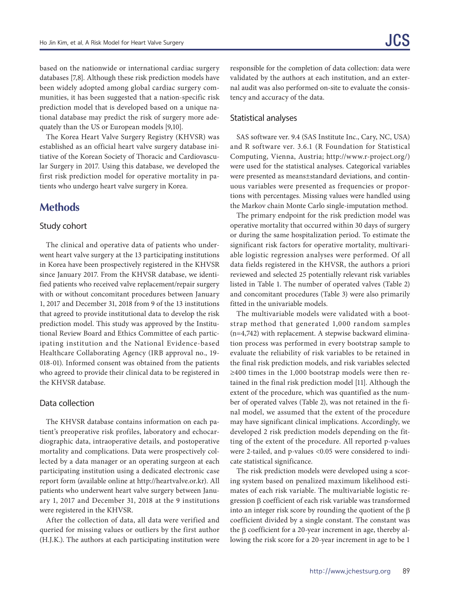based on the nationwide or international cardiac surgery databases [7,8]. Although these risk prediction models have been widely adopted among global cardiac surgery communities, it has been suggested that a nation-specific risk prediction model that is developed based on a unique national database may predict the risk of surgery more adequately than the US or European models [9,10].

The Korea Heart Valve Surgery Registry (KHVSR) was established as an official heart valve surgery database initiative of the Korean Society of Thoracic and Cardiovascular Surgery in 2017. Using this database, we developed the first risk prediction model for operative mortality in patients who undergo heart valve surgery in Korea.

## **Methods**

#### Study cohort

The clinical and operative data of patients who underwent heart valve surgery at the 13 participating institutions in Korea have been prospectively registered in the KHVSR since January 2017. From the KHVSR database, we identified patients who received valve replacement/repair surgery with or without concomitant procedures between January 1, 2017 and December 31, 2018 from 9 of the 13 institutions that agreed to provide institutional data to develop the risk prediction model. This study was approved by the Institutional Review Board and Ethics Committee of each participating institution and the National Evidence-based Healthcare Collaborating Agency (IRB approval no., 19- 018-01). Informed consent was obtained from the patients who agreed to provide their clinical data to be registered in the KHVSR database.

#### Data collection

The KHVSR database contains information on each patient's preoperative risk profiles, laboratory and echocardiographic data, intraoperative details, and postoperative mortality and complications. Data were prospectively collected by a data manager or an operating surgeon at each participating institution using a dedicated electronic case report form (available online at http://heartvalve.or.kr). All patients who underwent heart valve surgery between January 1, 2017 and December 31, 2018 at the 9 institutions were registered in the KHVSR.

After the collection of data, all data were verified and queried for missing values or outliers by the first author (H.J.K.). The authors at each participating institution were responsible for the completion of data collection: data were validated by the authors at each institution, and an external audit was also performed on-site to evaluate the consistency and accuracy of the data.

#### Statistical analyses

SAS software ver. 9.4 (SAS Institute Inc., Cary, NC, USA) and R software ver. 3.6.1 (R Foundation for Statistical Computing, Vienna, Austria; http://www.r-project.org/) were used for the statistical analyses. Categorical variables were presented as means±standard deviations, and continuous variables were presented as frequencies or proportions with percentages. Missing values were handled using the Markov chain Monte Carlo single-imputation method.

The primary endpoint for the risk prediction model was operative mortality that occurred within 30 days of surgery or during the same hospitalization period. To estimate the significant risk factors for operative mortality, multivariable logistic regression analyses were performed. Of all data fields registered in the KHVSR, the authors a priori reviewed and selected 25 potentially relevant risk variables listed in Table 1. The number of operated valves (Table 2) and concomitant procedures (Table 3) were also primarily fitted in the univariable models.

The multivariable models were validated with a bootstrap method that generated 1,000 random samples (n=4,742) with replacement. A stepwise backward elimination process was performed in every bootstrap sample to evaluate the reliability of risk variables to be retained in the final risk prediction models, and risk variables selected ≥400 times in the 1,000 bootstrap models were then retained in the final risk prediction model [11]. Although the extent of the procedure, which was quantified as the number of operated valves (Table 2), was not retained in the final model, we assumed that the extent of the procedure may have significant clinical implications. Accordingly, we developed 2 risk prediction models depending on the fitting of the extent of the procedure. All reported p-values were 2-tailed, and p-values <0.05 were considered to indicate statistical significance.

The risk prediction models were developed using a scoring system based on penalized maximum likelihood estimates of each risk variable. The multivariable logistic regression β coefficient of each risk variable was transformed into an integer risk score by rounding the quotient of the  $\beta$ coefficient divided by a single constant. The constant was the β coefficient for a 20-year increment in age, thereby allowing the risk score for a 20-year increment in age to be 1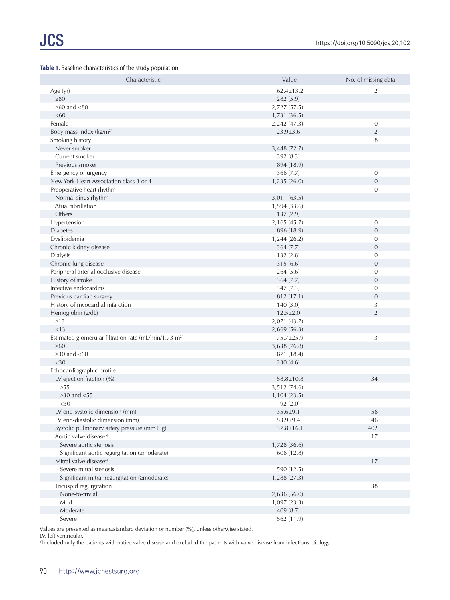#### **Table 1.** Baseline characteristics of the study population

| Characteristic                                                     | Value           | No. of missing data |
|--------------------------------------------------------------------|-----------------|---------------------|
| Age (yr)                                                           | $62.4 \pm 13.2$ | $\overline{2}$      |
| $\geq 80$                                                          | 282 (5.9)       |                     |
| $\geq 60$ and $< 80$                                               | 2,727 (57.5)    |                     |
| <60                                                                | 1,731 (36.5)    |                     |
| Female                                                             | 2,242 (47.3)    | $\overline{0}$      |
| Body mass index (kg/m <sup>2</sup> )                               | $23.9 \pm 3.6$  | $\overline{2}$      |
| Smoking history                                                    |                 | 8                   |
| Never smoker                                                       | 3,448 (72.7)    |                     |
| Current smoker                                                     | 392 (8.3)       |                     |
| Previous smoker                                                    | 894 (18.9)      |                     |
| Emergency or urgency                                               | 366(7.7)        | $\boldsymbol{0}$    |
| New York Heart Association class 3 or 4                            | 1,235 (26.0)    | $\overline{0}$      |
| Preoperative heart rhythm                                          |                 | $\mathbf{0}$        |
| Normal sinus rhythm                                                | 3,011 (63.5)    |                     |
| Atrial fibrillation                                                | 1,594 (33.6)    |                     |
| Others                                                             | 137(2.9)        |                     |
| Hypertension                                                       | 2,165 (45.7)    | $\sigma$            |
| <b>Diabetes</b>                                                    | 896 (18.9)      | $\overline{0}$      |
| Dyslipidemia                                                       | 1,244(26.2)     | $\mathbf{0}$        |
| Chronic kidney disease                                             | 364(7.7)        | $\overline{0}$      |
| Dialysis                                                           | 132(2.8)        | $\mathbf{0}$        |
| Chronic lung disease                                               | 315 (6.6)       | $\mathbf{0}$        |
| Peripheral arterial occlusive disease                              | 264(5.6)        | $\mathbf{0}$        |
| History of stroke                                                  | 364(7.7)        | $\overline{0}$      |
| Infective endocarditis                                             |                 | $\mathbf{0}$        |
|                                                                    | 347 (7.3)       |                     |
| Previous cardiac surgery                                           | 812 (17.1)      | $\overline{0}$      |
| History of myocardial infarction                                   | 140(3.0)        | 3<br>$\overline{2}$ |
| Hemoglobin (g/dL)                                                  | $12.5 \pm 2.0$  |                     |
| $\geq$ 13                                                          | 2,071 (43.7)    |                     |
| < 13                                                               | 2,669(56.3)     |                     |
| Estimated glomerular filtration rate (mL/min/1.73 m <sup>2</sup> ) | 75.7±25.9       | 3                   |
| $\geq 60$                                                          | 3,638 (76.8)    |                     |
| $\geq$ 30 and $\lt$ 60                                             | 871 (18.4)      |                     |
| $<$ 30                                                             | 230(4.6)        |                     |
| Echocardiographic profile                                          |                 |                     |
| LV ejection fraction (%)                                           | $58.8 \pm 10.8$ | 34                  |
| $\geq$ 55                                                          | 3,512 (74.6)    |                     |
| $\geq$ 30 and <55                                                  | 1,104 (23.5)    |                     |
| $<$ 30                                                             | 92(2.0)         |                     |
| LV end-systolic dimension (mm)                                     | $35.6 \pm 9.1$  | 56                  |
| LV end-diastolic dimension (mm)                                    | $53.9 + 9.4$    | 46                  |
| Systolic pulmonary artery pressure (mm Hg)                         | $37.8 \pm 16.1$ | 402                 |
| Aortic valve disease <sup>a)</sup>                                 |                 | 17                  |
| Severe aortic stenosis                                             | 1,728 (36.6)    |                     |
| Significant aortic regurgitation (≥moderate)                       | 606 (12.8)      |                     |
| Mitral valve disease <sup>a)</sup>                                 |                 | 17                  |
| Severe mitral stenosis                                             | 590 (12.5)      |                     |
| Significant mitral regurgitation (≥moderate)                       | 1,288(27.3)     |                     |
| Tricuspid regurgitation                                            |                 | 38                  |
| None-to-trivial                                                    | 2,636 (56.0)    |                     |
| Mild                                                               | 1,097(23.3)     |                     |
| Moderate                                                           | 409 (8.7)       |                     |
| Severe                                                             | 562 (11.9)      |                     |

Values are presented as mean±standard deviation or number (%), unless otherwise stated.

LV, left ventricular.

a)Included only the patients with native valve disease and excluded the patients with valve disease from infectious etiology.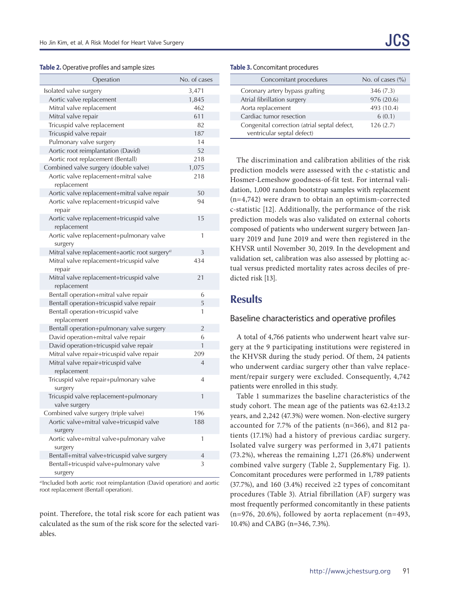#### **Table 2.** Operative profiles and sample sizes

| Operation                                                  | No. of cases   |
|------------------------------------------------------------|----------------|
| Isolated valve surgery                                     | 3,471          |
| Aortic valve replacement                                   | 1,845          |
| Mitral valve replacement                                   | 462            |
| Mitral valve repair                                        | 611            |
| Tricuspid valve replacement                                | 82             |
| Tricuspid valve repair                                     | 187            |
| Pulmonary valve surgery                                    | 14             |
| Aortic root reimplantation (David)                         | 52             |
| Aortic root replacement (Bentall)                          | 218            |
| Combined valve surgery (double valve)                      | 1,075          |
| Aortic valve replacement+mitral valve<br>replacement       | 218            |
| Aortic valve replacement+mitral valve repair               | 50             |
| Aortic valve replacement+tricuspid valve<br>repair         | 94             |
| Aortic valve replacement+tricuspid valve<br>replacement    | 15             |
| Aortic valve replacement+pulmonary valve<br>surgery        | 1              |
| Mitral valve replacement+aortic root surgery <sup>a)</sup> | 3              |
| Mitral valve replacement+tricuspid valve<br>repair         | 434            |
| Mitral valve replacement+tricuspid valve<br>replacement    | 21             |
| Bentall operation+mitral valve repair                      | 6              |
| Bentall operation+tricuspid valve repair                   | 5              |
| Bentall operation+tricuspid valve<br>replacement           | 1              |
| Bentall operation+pulmonary valve surgery                  | $\overline{2}$ |
| David operation+mitral valve repair                        | 6              |
| David operation+tricuspid valve repair                     | $\mathbf{1}$   |
| Mitral valve repair+tricuspid valve repair                 | 209            |
| Mitral valve repair+tricuspid valve<br>replacement         | $\overline{4}$ |
| Tricuspid valve repair+pulmonary valve<br>surgery          | 4              |
| Tricuspid valve replacement+pulmonary<br>valve surgery     | 1              |
| Combined valve surgery (triple valve)                      | 196            |
| Aortic valve+mitral valve+tricuspid valve<br>surgery       | 188            |
| Aortic valve+mitral valve+pulmonary valve<br>surgery       | 1              |
| Bentall+mitral valve+tricuspid valve surgery               | 4              |
| Bentall+tricuspid valve+pulmonary valve                    | 3              |
| surgery                                                    |                |

a)Included both aortic root reimplantation (David operation) and aortic root replacement (Bentall operation).

point. Therefore, the total risk score for each patient was calculated as the sum of the risk score for the selected variables.

| Concomitant procedures                                                     | No. of cases $\frac{6}{6}$ |
|----------------------------------------------------------------------------|----------------------------|
| Coronary artery bypass grafting                                            | 346(7.3)                   |
| Atrial fibrillation surgery                                                | 976 (20.6)                 |
| Aorta replacement                                                          | 493 (10.4)                 |
| Cardiac tumor resection                                                    | 6(0.1)                     |
| Congenital correction (atrial septal defect,<br>ventricular septal defect) | 126(2.7)                   |

The discrimination and calibration abilities of the risk prediction models were assessed with the c-statistic and Hosmer-Lemeshow goodness-of-fit test. For internal validation, 1,000 random bootstrap samples with replacement (n=4,742) were drawn to obtain an optimism-corrected c-statistic [12]. Additionally, the performance of the risk prediction models was also validated on external cohorts composed of patients who underwent surgery between January 2019 and June 2019 and were then registered in the KHVSR until November 30, 2019. In the development and validation set, calibration was also assessed by plotting actual versus predicted mortality rates across deciles of predicted risk [13].

## **Results**

#### Baseline characteristics and operative profiles

A total of 4,766 patients who underwent heart valve surgery at the 9 participating institutions were registered in the KHVSR during the study period. Of them, 24 patients who underwent cardiac surgery other than valve replacement/repair surgery were excluded. Consequently, 4,742 patients were enrolled in this study.

Table 1 summarizes the baseline characteristics of the study cohort. The mean age of the patients was 62.4±13.2 years, and 2,242 (47.3%) were women. Non-elective surgery accounted for 7.7% of the patients (n=366), and 812 patients (17.1%) had a history of previous cardiac surgery. Isolated valve surgery was performed in 3,471 patients (73.2%), whereas the remaining 1,271 (26.8%) underwent combined valve surgery (Table 2, Supplementary Fig. 1). Concomitant procedures were performed in 1,789 patients (37.7%), and 160 (3.4%) received  $\geq$  2 types of concomitant procedures (Table 3). Atrial fibrillation (AF) surgery was most frequently performed concomitantly in these patients (n=976, 20.6%), followed by aorta replacement (n=493, 10.4%) and CABG (n=346, 7.3%).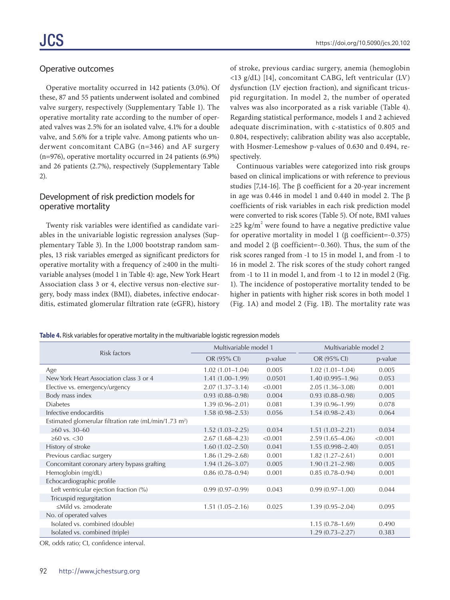### Operative outcomes

Operative mortality occurred in 142 patients (3.0%). Of these, 87 and 55 patients underwent isolated and combined valve surgery, respectively (Supplementary Table 1). The operative mortality rate according to the number of operated valves was 2.5% for an isolated valve, 4.1% for a double valve, and 5.6% for a triple valve. Among patients who underwent concomitant CABG (n=346) and AF surgery (n=976), operative mortality occurred in 24 patients (6.9%) and 26 patients (2.7%), respectively (Supplementary Table 2).

## Development of risk prediction models for operative mortality

Twenty risk variables were identified as candidate variables in the univariable logistic regression analyses (Supplementary Table 3). In the 1,000 bootstrap random samples, 13 risk variables emerged as significant predictors for operative mortality with a frequency of ≥400 in the multivariable analyses (model 1 in Table 4): age, New York Heart Association class 3 or 4, elective versus non-elective surgery, body mass index (BMI), diabetes, infective endocarditis, estimated glomerular filtration rate (eGFR), history

of stroke, previous cardiac surgery, anemia (hemoglobin <13 g/dL) [14], concomitant CABG, left ventricular (LV) dysfunction (LV ejection fraction), and significant tricuspid regurgitation. In model 2, the number of operated valves was also incorporated as a risk variable (Table 4). Regarding statistical performance, models 1 and 2 achieved adequate discrimination, with c-statistics of 0.805 and 0.804, respectively; calibration ability was also acceptable, with Hosmer-Lemeshow p-values of 0.630 and 0.494, respectively.

Continuous variables were categorized into risk groups based on clinical implications or with reference to previous studies [7,14-16]. The β coefficient for a 20-year increment in age was 0.446 in model 1 and 0.440 in model 2. The  $\beta$ coefficients of risk variables in each risk prediction model were converted to risk scores (Table 5). Of note, BMI values ≥25 kg/m<sup>2</sup> were found to have a negative predictive value for operative mortality in model 1 (β coefficient=-0.375) and model 2 (β coefficient=-0.360). Thus, the sum of the risk scores ranged from -1 to 15 in model 1, and from -1 to 16 in model 2. The risk scores of the study cohort ranged from -1 to 11 in model 1, and from -1 to 12 in model 2 (Fig. 1). The incidence of postoperative mortality tended to be higher in patients with higher risk scores in both model 1 (Fig. 1A) and model 2 (Fig. 1B). The mortality rate was

| Table 4. Risk variables for operative mortality in the multivariable logistic regression models |  |  |
|-------------------------------------------------------------------------------------------------|--|--|
|                                                                                                 |  |  |

| Risk factors                                                       | Multivariable model 1 |         | Multivariable model 2 |         |
|--------------------------------------------------------------------|-----------------------|---------|-----------------------|---------|
|                                                                    | OR (95% CI)           | p-value | OR (95% CI)           | p-value |
| Age                                                                | $1.02(1.01-1.04)$     | 0.005   | $1.02(1.01 - 1.04)$   | 0.005   |
| New York Heart Association class 3 or 4                            | $1.41(1.00-1.99)$     | 0.0501  | $1.40(0.995 - 1.96)$  | 0.053   |
| Elective vs. emergency/urgency                                     | $2.07(1.37-3.14)$     | < 0.001 | $2.05(1.36 - 3.08)$   | 0.001   |
| Body mass index                                                    | $0.93(0.88 - 0.98)$   | 0.004   | $0.93(0.88 - 0.98)$   | 0.005   |
| <b>Diabetes</b>                                                    | $1.39(0.96 - 2.01)$   | 0.081   | $1.39(0.96 - 1.99)$   | 0.078   |
| Infective endocarditis                                             | $1.58(0.98 - 2.53)$   | 0.056   | $1.54(0.98 - 2.43)$   | 0.064   |
| Estimated glomerular filtration rate (mL/min/1.73 m <sup>2</sup> ) |                       |         |                       |         |
| $≥60$ vs. 30–60                                                    | $1.52(1.03 - 2.25)$   | 0.034   | $1.51(1.03 - 2.21)$   | 0.034   |
| $≥60$ vs. $<30$                                                    | $2.67(1.68-4.23)$     | < 0.001 | $2.59(1.65 - 4.06)$   | < 0.001 |
| History of stroke                                                  | $1.60(1.02 - 2.50)$   | 0.041   | $1.55(0.998 - 2.40)$  | 0.051   |
| Previous cardiac surgery                                           | $1.86(1.29 - 2.68)$   | 0.001   | $1.82(1.27 - 2.61)$   | 0.001   |
| Concomitant coronary artery bypass grafting                        | $1.94(1.26 - 3.07)$   | 0.005   | $1.90(1.21 - 2.98)$   | 0.005   |
| Hemoglobin (mg/dL)                                                 | $0.86(0.78 - 0.94)$   | 0.001   | $0.85(0.78 - 0.94)$   | 0.001   |
| Echocardiographic profile                                          |                       |         |                       |         |
| Left ventricular ejection fraction (%)                             | $0.99(0.97-0.99)$     | 0.043   | $0.99(0.97 - 1.00)$   | 0.044   |
| Tricuspid regurgitation                                            |                       |         |                       |         |
| ≤Mild vs. ≥moderate                                                | $1.51(1.05 - 2.16)$   | 0.025   | $1.39(0.95 - 2.04)$   | 0.095   |
| No. of operated valves                                             |                       |         |                       |         |
| Isolated vs. combined (double)                                     |                       |         | $1.15(0.78 - 1.69)$   | 0.490   |
| Isolated vs. combined (triple)                                     |                       |         | $1.29(0.73 - 2.27)$   | 0.383   |

OR, odds ratio; CI, confidence interval.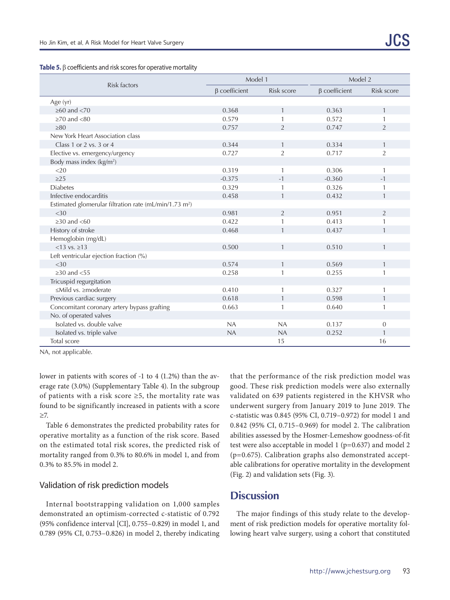**Table 5.** β coefficients and risk scores for operative mortality

|                                                                    | Model 1             |                | Model 2             |                |
|--------------------------------------------------------------------|---------------------|----------------|---------------------|----------------|
| Risk factors                                                       | $\beta$ coefficient | Risk score     | $\beta$ coefficient | Risk score     |
| Age (yr)                                                           |                     |                |                     |                |
| $\geq 60$ and $\lt 70$                                             | 0.368               | $\mathbf{1}$   | 0.363               | $\mathbf{1}$   |
| $\geq$ 70 and $\lt$ 80                                             | 0.579               |                | 0.572               | 1              |
| $\geq 80$                                                          | 0.757               | $\overline{2}$ | 0.747               | $\overline{2}$ |
| New York Heart Association class                                   |                     |                |                     |                |
| Class 1 or 2 vs. 3 or 4                                            | 0.344               | $\mathbf{1}$   | 0.334               | $\mathbf{1}$   |
| Elective vs. emergency/urgency                                     | 0.727               | $\overline{2}$ | 0.717               | $\overline{2}$ |
| Body mass index (kg/m <sup>2</sup> )                               |                     |                |                     |                |
| $<$ 20                                                             | 0.319               | $\mathbf{1}$   | 0.306               | $\mathbf{1}$   |
| $\geq$ 25                                                          | $-0.375$            | $-1$           | $-0.360$            | $-1$           |
| <b>Diabetes</b>                                                    | 0.329               |                | 0.326               | 1              |
| Infective endocarditis                                             | 0.458               | $\mathbf{1}$   | 0.432               | $\mathbf{1}$   |
| Estimated glomerular filtration rate (mL/min/1.73 m <sup>2</sup> ) |                     |                |                     |                |
| <30                                                                | 0.981               | 2              | 0.951               | $\overline{2}$ |
| $\geq$ 30 and $\lt$ 60                                             | 0.422               | 1              | 0.413               | 1              |
| History of stroke                                                  | 0.468               | $\mathbf{1}$   | 0.437               | $\mathbf{1}$   |
| Hemoglobin (mg/dL)                                                 |                     |                |                     |                |
| $< 13$ vs. $\ge 13$                                                | 0.500               | $\mathbf{1}$   | 0.510               | $\mathbf{1}$   |
| Left ventricular ejection fraction (%)                             |                     |                |                     |                |
| <30                                                                | 0.574               | $\mathbf{1}$   | 0.569               | $\mathbf{1}$   |
| $\geq$ 30 and $\lt$ 55                                             | 0.258               |                | 0.255               | 1              |
| Tricuspid regurgitation                                            |                     |                |                     |                |
| ≤Mild vs. ≥moderate                                                | 0.410               | $\mathbf{1}$   | 0.327               | $\mathbf{1}$   |
| Previous cardiac surgery                                           | 0.618               | $\mathbf{1}$   | 0.598               | $\mathbf{1}$   |
| Concomitant coronary artery bypass grafting                        | 0.663               | 1              | 0.640               | $\mathbf{1}$   |
| No. of operated valves                                             |                     |                |                     |                |
| Isolated vs. double valve                                          | NA                  | NA             | 0.137               | $\mathbf{0}$   |
| Isolated vs. triple valve                                          | NA                  | NA             | 0.252               | 1              |
| Total score                                                        |                     | 15             |                     | 16             |

NA, not applicable.

lower in patients with scores of -1 to 4 (1.2%) than the average rate (3.0%) (Supplementary Table 4). In the subgroup of patients with a risk score  $\geq$ 5, the mortality rate was found to be significantly increased in patients with a score ≥7.

Table 6 demonstrates the predicted probability rates for operative mortality as a function of the risk score. Based on the estimated total risk scores, the predicted risk of mortality ranged from 0.3% to 80.6% in model 1, and from 0.3% to 85.5% in model 2.

#### Validation of risk prediction models

Internal bootstrapping validation on 1,000 samples demonstrated an optimism-corrected c-statistic of 0.792 (95% confidence interval [CI], 0.755–0.829) in model 1, and 0.789 (95% CI, 0.753–0.826) in model 2, thereby indicating that the performance of the risk prediction model was good. These risk prediction models were also externally validated on 639 patients registered in the KHVSR who underwent surgery from January 2019 to June 2019. The c-statistic was 0.845 (95% CI, 0.719–0.972) for model 1 and 0.842 (95% CI, 0.715–0.969) for model 2. The calibration abilities assessed by the Hosmer-Lemeshow goodness-of-fit test were also acceptable in model 1 (p=0.637) and model 2 (p=0.675). Calibration graphs also demonstrated acceptable calibrations for operative mortality in the development (Fig. 2) and validation sets (Fig. 3).

## **Discussion**

The major findings of this study relate to the development of risk prediction models for operative mortality following heart valve surgery, using a cohort that constituted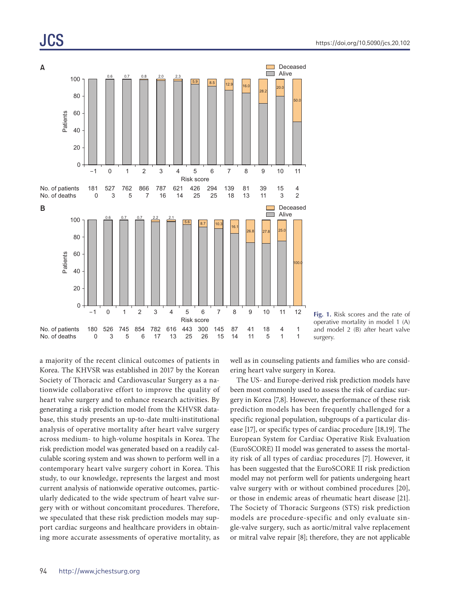# JCS



**Fig. 1.** Risk scores and the rate of operative mortality in model 1 (A) and model 2 (B) after heart valve surgery.

a majority of the recent clinical outcomes of patients in Korea. The KHVSR was established in 2017 by the Korean Society of Thoracic and Cardiovascular Surgery as a nationwide collaborative effort to improve the quality of heart valve surgery and to enhance research activities. By generating a risk prediction model from the KHVSR database, this study presents an up-to-date multi-institutional analysis of operative mortality after heart valve surgery across medium- to high-volume hospitals in Korea. The risk prediction model was generated based on a readily calculable scoring system and was shown to perform well in a contemporary heart valve surgery cohort in Korea. This study, to our knowledge, represents the largest and most current analysis of nationwide operative outcomes, particularly dedicated to the wide spectrum of heart valve surgery with or without concomitant procedures. Therefore, we speculated that these risk prediction models may support cardiac surgeons and healthcare providers in obtaining more accurate assessments of operative mortality, as

well as in counseling patients and families who are considering heart valve surgery in Korea.

The US- and Europe-derived risk prediction models have been most commonly used to assess the risk of cardiac surgery in Korea [7,8]. However, the performance of these risk prediction models has been frequently challenged for a specific regional population, subgroups of a particular disease [17], or specific types of cardiac procedure [18,19]. The European System for Cardiac Operative Risk Evaluation (EuroSCORE) II model was generated to assess the mortality risk of all types of cardiac procedures [7]. However, it has been suggested that the EuroSCORE II risk prediction model may not perform well for patients undergoing heart valve surgery with or without combined procedures [20], or those in endemic areas of rheumatic heart disease [21]. The Society of Thoracic Surgeons (STS) risk prediction models are procedure-specific and only evaluate single-valve surgery, such as aortic/mitral valve replacement or mitral valve repair [8]; therefore, they are not applicable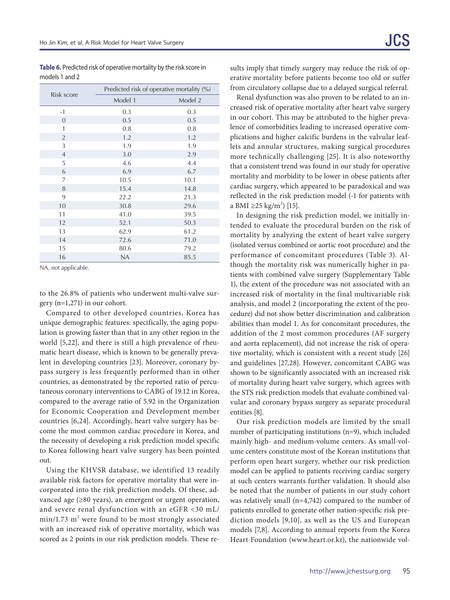**Table 6.** Predicted risk of operative mortality by the risk score in models 1 and 2

|                | Predicted risk of operative mortality (%) |         |  |
|----------------|-------------------------------------------|---------|--|
| Risk score     | Model 1                                   | Model 2 |  |
| $-1$           | 0.3                                       | 0.3     |  |
| $\overline{0}$ | 0.5                                       | 0.5     |  |
| 1              | 0.8                                       | 0.8     |  |
| $\overline{2}$ | 1.2                                       | 1.2     |  |
| 3              | 1.9                                       | 1.9     |  |
| $\overline{4}$ | 3.0                                       | 2.9     |  |
| 5              | 4.6                                       | 4.4     |  |
| 6              | 6.9                                       | 6.7     |  |
| 7              | 10.5                                      | 10.1    |  |
| 8              | 15.4                                      | 14.8    |  |
| 9              | 22.2                                      | 21.3    |  |
| 10             | 30.8                                      | 29.6    |  |
| 11             | 41.0                                      | 39.5    |  |
| 12             | 52.1                                      | 50.3    |  |
| 13             | 62.9                                      | 61.2    |  |
| 14             | 72.6                                      | 71.0    |  |
| 15             | 80.6                                      | 79.2    |  |
| 16             | <b>NA</b>                                 | 85.5    |  |

NA, not applicable.

to the 26.8% of patients who underwent multi-valve surgery (n=1,271) in our cohort.

Compared to other developed countries, Korea has unique demographic features: specifically, the aging population is growing faster than that in any other region in the world [5,22], and there is still a high prevalence of rheumatic heart disease, which is known to be generally prevalent in developing countries [23]. Moreover, coronary bypass surgery is less frequently performed than in other countries, as demonstrated by the reported ratio of percutaneous coronary interventions to CABG of 19.12 in Korea, compared to the average ratio of 5.92 in the Organization for Economic Cooperation and Development member countries [6,24]. Accordingly, heart valve surgery has become the most common cardiac procedure in Korea, and the necessity of developing a risk prediction model specific to Korea following heart valve surgery has been pointed out.

Using the KHVSR database, we identified 13 readily available risk factors for operative mortality that were incorporated into the risk prediction models. Of these, advanced age (≥80 years), an emergent or urgent operation, and severe renal dysfunction with an eGFR <30 mL/  $min/1.73$   $m^2$  were found to be most strongly associated with an increased risk of operative mortality, which was scored as 2 points in our risk prediction models. These re-

sults imply that timely surgery may reduce the risk of operative mortality before patients become too old or suffer from circulatory collapse due to a delayed surgical referral.

Renal dysfunction was also proven to be related to an increased risk of operative mortality after heart valve surgery in our cohort. This may be attributed to the higher prevalence of comorbidities leading to increased operative complications and higher calcific burdens in the valvular leaflets and annular structures, making surgical procedures more technically challenging [25]. It is also noteworthy that a consistent trend was found in our study for operative mortality and morbidity to be lower in obese patients after cardiac surgery, which appeared to be paradoxical and was reflected in the risk prediction model (-1 for patients with a BMI ≥25 kg/m<sup>2</sup>) [15].

In designing the risk prediction model, we initially intended to evaluate the procedural burden on the risk of mortality by analyzing the extent of heart valve surgery (isolated versus combined or aortic root procedure) and the performance of concomitant procedures (Table 3). Although the mortality risk was numerically higher in patients with combined valve surgery (Supplementary Table 1), the extent of the procedure was not associated with an increased risk of mortality in the final multivariable risk analysis, and model 2 (incorporating the extent of the procedure) did not show better discrimination and calibration abilities than model 1. As for concomitant procedures, the addition of the 2 most common procedures (AF surgery and aorta replacement), did not increase the risk of operative mortality, which is consistent with a recent study [26] and guidelines [27,28]. However, concomitant CABG was shown to be significantly associated with an increased risk of mortality during heart valve surgery, which agrees with the STS risk prediction models that evaluate combined valvular and coronary bypass surgery as separate procedural entities [8].

Our risk prediction models are limited by the small number of participating institutions (n=9), which included mainly high- and medium-volume centers. As small-volume centers constitute most of the Korean institutions that perform open heart surgery, whether our risk prediction model can be applied to patients receiving cardiac surgery at such centers warrants further validation. It should also be noted that the number of patients in our study cohort was relatively small (n=4,742) compared to the number of patients enrolled to generate other nation-specific risk prediction models [9,10], as well as the US and European models [7,8]. According to annual reports from the Korea Heart Foundation (www.heart.or.kr), the nationwide vol-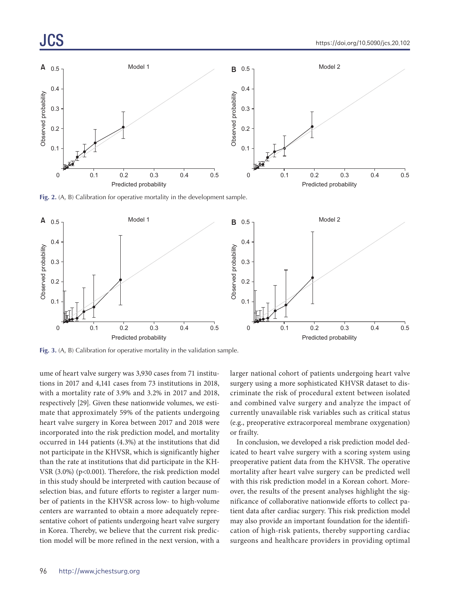

**Fig. 2.** (A, B) Calibration for operative mortality in the development sample.



**Fig. 3.** (A, B) Calibration for operative mortality in the validation sample.

ume of heart valve surgery was 3,930 cases from 71 institutions in 2017 and 4,141 cases from 73 institutions in 2018, with a mortality rate of 3.9% and 3.2% in 2017 and 2018, respectively [29]. Given these nationwide volumes, we estimate that approximately 59% of the patients undergoing heart valve surgery in Korea between 2017 and 2018 were incorporated into the risk prediction model, and mortality occurred in 144 patients (4.3%) at the institutions that did not participate in the KHVSR, which is significantly higher than the rate at institutions that did participate in the KH-VSR (3.0%) (p<0.001). Therefore, the risk prediction model in this study should be interpreted with caution because of selection bias, and future efforts to register a larger number of patients in the KHVSR across low- to high-volume centers are warranted to obtain a more adequately representative cohort of patients undergoing heart valve surgery in Korea. Thereby, we believe that the current risk prediction model will be more refined in the next version, with a larger national cohort of patients undergoing heart valve surgery using a more sophisticated KHVSR dataset to discriminate the risk of procedural extent between isolated and combined valve surgery and analyze the impact of currently unavailable risk variables such as critical status (e.g., preoperative extracorporeal membrane oxygenation) or frailty.

In conclusion, we developed a risk prediction model dedicated to heart valve surgery with a scoring system using preoperative patient data from the KHVSR. The operative mortality after heart valve surgery can be predicted well with this risk prediction model in a Korean cohort. Moreover, the results of the present analyses highlight the significance of collaborative nationwide efforts to collect patient data after cardiac surgery. This risk prediction model may also provide an important foundation for the identification of high-risk patients, thereby supporting cardiac surgeons and healthcare providers in providing optimal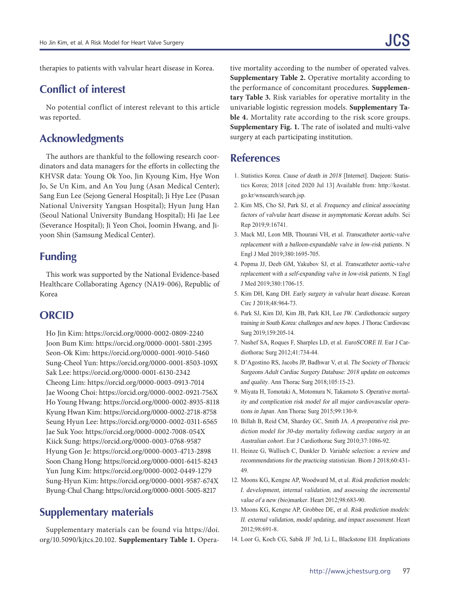therapies to patients with valvular heart disease in Korea.

## **Conflict of interest**

No potential conflict of interest relevant to this article was reported.

# **Acknowledgments**

The authors are thankful to the following research coordinators and data managers for the efforts in collecting the KHVSR data: Young Ok Yoo, Jin Kyoung Kim, Hye Won Jo, Se Un Kim, and An You Jung (Asan Medical Center); Sang Eun Lee (Sejong General Hospital); Ji Hye Lee (Pusan National University Yangsan Hospital); Hyun Jung Han (Seoul National University Bundang Hospital); Hi Jae Lee (Severance Hospital); Ji Yeon Choi, Joomin Hwang, and Jiyoon Shin (Samsung Medical Center).

## **Funding**

This work was supported by the National Evidence-based Healthcare Collaborating Agency (NA19-006), Republic of Korea

## **ORCID**

Ho Jin Kim: https://orcid.org/0000-0002-0809-2240 Joon Bum Kim: https://orcid.org/0000-0001-5801-2395 Seon-Ok Kim: https://orcid.org/0000-0001-9010-5460 Sung-Cheol Yun: https://orcid.org/0000-0001-8503-109X Sak Lee: https://orcid.org/0000-0001-6130-2342 Cheong Lim: https://orcid.org/0000-0003-0913-7014 Jae Woong Choi: https://orcid.org/0000-0002-0921-756X Ho Young Hwang: https://orcid.org/0000-0002-8935-8118 Kyung Hwan Kim: https://orcid.org/0000-0002-2718-8758 Seung Hyun Lee: https://orcid.org/0000-0002-0311-6565 Jae Suk Yoo: https://orcid.org/0000-0002-7008-054X Kiick Sung: https://orcid.org/0000-0003-0768-9587 Hyung Gon Je: https://orcid.org/0000-0003-4713-2898 Soon Chang Hong: https://orcid.org/0000-0001-6415-8243 Yun Jung Kim: https://orcid.org/0000-0002-0449-1279 Sung-Hyun Kim: https://orcid.org/0000-0001-9587-674X Byung-Chul Chang: https://orcid.org/0000-0001-5005-8217

# **Supplementary materials**

Supplementary materials can be found via https://doi. org/10.5090/kjtcs.20.102. **Supplementary Table 1.** Opera-

tive mortality according to the number of operated valves. **Supplementary Table 2.** Operative mortality according to the performance of concomitant procedures. **Supplementary Table 3.** Risk variables for operative mortality in the univariable logistic regression models. **Supplementary Table 4.** Mortality rate according to the risk score groups. **Supplementary Fig. 1.** The rate of isolated and multi-valve surgery at each participating institution.

## **References**

- 1. Statistics Korea. Cause of death in 2018 [Internet]. Daejeon: Statistics Korea; 2018 [cited 2020 Jul 13] Available from: http://kostat. go.kr/wnsearch/search.jsp.
- 2. Kim MS, Cho SJ, Park SJ, et al. Frequency and clinical associating factors of valvular heart disease in asymptomatic Korean adults. Sci Rep 2019;9:16741.
- 3. Mack MJ, Leon MB, Thourani VH, et al. Transcatheter aortic-valve replacement with a balloon-expandable valve in low-risk patients. N Engl J Med 2019;380:1695-705.
- 4. Popma JJ, Deeb GM, Yakubov SJ, et al. Transcatheter aortic-valve replacement with a self-expanding valve in low-risk patients. N Engl J Med 2019;380:1706-15.
- 5. Kim DH, Kang DH. Early surgery in valvular heart disease. Korean Circ J 2018;48:964-73.
- 6. Park SJ, Kim DJ, Kim JB, Park KH, Lee JW. Cardiothoracic surgery training in South Korea: challenges and new hopes. J Thorac Cardiovasc Surg 2019;159:205-14.
- 7. Nashef SA, Roques F, Sharples LD, et al. EuroSCORE II. Eur J Cardiothorac Surg 2012;41:734-44.
- 8. D'Agostino RS, Jacobs JP, Badhwar V, et al. The Society of Thoracic Surgeons Adult Cardiac Surgery Database: 2018 update on outcomes and quality. Ann Thorac Surg 2018;105:15-23.
- 9. Miyata H, Tomotaki A, Motomura N, Takamoto S. Operative mortality and complication risk model for all major cardiovascular operations in Japan. Ann Thorac Surg 2015;99:130-9.
- 10. Billah B, Reid CM, Shardey GC, Smith JA. A preoperative risk prediction model for 30-day mortality following cardiac surgery in an Australian cohort. Eur J Cardiothorac Surg 2010;37:1086-92.
- 11. Heinze G, Wallisch C, Dunkler D. Variable selection: a review and recommendations for the practicing statistician. Biom J 2018;60:431- 49.
- 12. Moons KG, Kengne AP, Woodward M, et al. Risk prediction models: I. development, internal validation, and assessing the incremental value of a new (bio)marker. Heart 2012;98:683-90.
- 13. Moons KG, Kengne AP, Grobbee DE, et al. Risk prediction models: II. external validation, model updating, and impact assessment. Heart 2012;98:691-8.
- 14. Loor G, Koch CG, Sabik JF 3rd, Li L, Blackstone EH. Implications